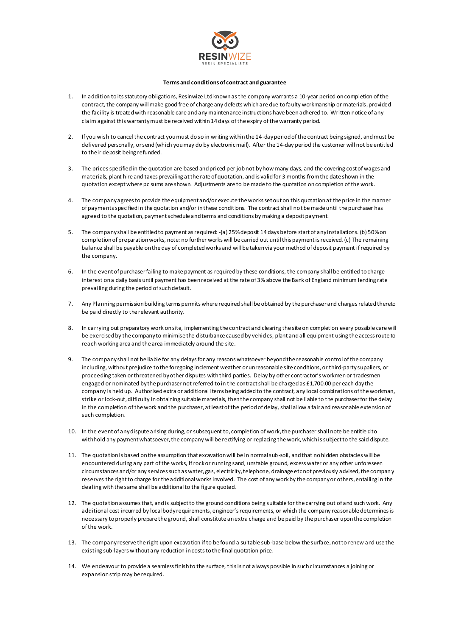

## **Terms and conditions of contract and guarantee**

- 1. In addition to its statutory obligations, Resinwize Ltd known as the company warrants a 10-year period on completion of the contract, the company will make good free of charge any defects which are due to faulty workmanship or materials, provided the facility is treated with reasonable care and any maintenance instructions have been adhered to. Written notice of any claim against this warranty must be received within 14 days of the expiry of the warranty period.
- 2. If you wish to cancel the contract you must do so in writing within the 14-day period of the contract being signed, and must be delivered personally, or send (which you may do by electronic mail). After the 14-day period the customer will not be entitled to their deposit being refunded.
- 3. The prices specified in the quotation are based and priced per job not by how many days, and the covering cost of wages and materials, plant hire and taxes prevailing at the rate of quotation, and is valid for 3 months from the date shown in the quotation except where pc sums are shown. Adjustments are to be made to the quotation on completion of the work.
- 4. The company agrees to provide the equipment and/or execute the works set out on this quotation at the price in the manner of payments specified in the quotation and/or in these conditions. The contract shall not be made until the purchaser has agreed to the quotation, payment schedule and terms and conditions by making a deposit payment.
- 5. The company shall be entitled to payment as required: -(a) 25% deposit 14 days before start of any installations. (b) 50% on completion of preparation works, note: no further works will be carried out until this payment is received. (c) The remaining balance shall be payable on the day of completed works and will be taken via your method of deposit payment if required by the company.
- 6. In the event of purchaser failing to make payment as required by these conditions, the company shall be entitled to charge interest on a daily basis until payment has been received at the rate of 3% above the Bank of England minimum lending rate prevailing during the period of such default.
- 7. Any Planning permission building terms permits where required shall be obtained by the purchaser and charges related thereto be paid directly to the relevant authority.
- 8. In carrying out preparatory work on site, implementing the contract and clearing the site on completion every possible care will be exercised by the company to minimise the disturbance caused by vehicles, plant and all equipment using the access route to reach working area and the area immediately around the site.
- 9. The company shall not be liable for any delays for any reasons whatsoever beyond the reasonable control of the company including, without prejudice to the foregoing inclement weather or unreasonable site conditions, or third-party suppliers, or proceeding taken or threatened by other disputes with third parties. Delay by other contractor's workmen or tradesmen engaged or nominated by the purchaser not referred to in the contract shall be charged as £1,700.00 per each day the company is held up. Authorised extra or additional items being added to the contract, any local combinations of the workman, strike or lock-out, difficulty in obtaining suitable materials, then the company shall not be liable to the purchaser for the delay in the completion of the work and the purchaser, at least of the period of delay, shall allow a fair and reasonable extension of such completion.
- 10. In the event of any dispute arising during, or subsequent to, completion of work, the purchaser shall note be entitle d to withhold any payment whatsoever, the company will be rectifying or replacing the work, which is subject to the said dispute.
- 11. The quotation is based on the assumption that excavation will be in normal sub-soil, and that no hidden obstacles will be encountered during any part of the works, If rock or running sand, unstable ground, excess water or any other unforeseen circumstances and/or any services such as water, gas, electricity, telephone, drainage etc not previously advised, the company reserves the right to charge for the additional works involved. The cost of any work by the company or others, entailing in the dealing with the same shall be additional to the figure quoted.
- 12. The quotation assumes that, and is subject to the ground conditions being suitable for the carrying out of and such work. Any additional cost incurred by local body requirements, engineer's requirements, or which the company reasonable determines is necessary to properly prepare the ground, shall constitute an extra charge and be paid by the purchaser upon the completion of the work.
- 13. The company reserve the right upon excavation if to be found a suitable sub-base below the surface, not to renew and use the existing sub-layers without any reduction in costs to the final quotation price.
- 14. We endeavour to provide a seamless finish to the surface, this is not always possible in such circumstances a joining or expansion strip may be required.